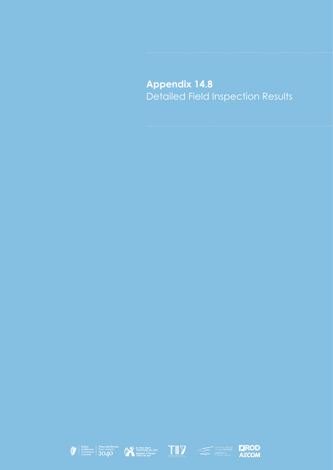**Appendix 14.8** Detailed Field Inspection Results









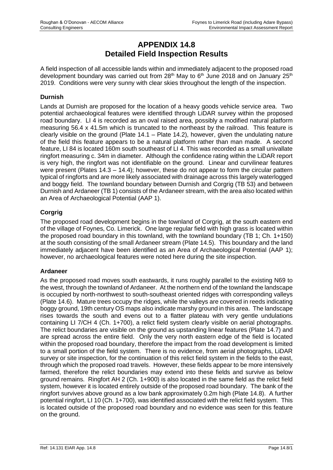# **APPENDIX 14.8 Detailed Field Inspection Results**

A field inspection of all accessible lands within and immediately adjacent to the proposed road development boundary was carried out from  $28<sup>th</sup>$  May to  $6<sup>th</sup>$  June 2018 and on January  $25<sup>th</sup>$ 2019. Conditions were very sunny with clear skies throughout the length of the inspection.

## **Durnish**

Lands at Durnish are proposed for the location of a heavy goods vehicle service area. Two potential archaeological features were identified through LiDAR survey within the proposed road boundary. LI 4 is recorded as an oval raised area, possibly a modified natural platform measuring 56.4 x 41.5m which is truncated to the northeast by the railroad. This feature is clearly visible on the ground (Plate 14.1 – Plate 14.2), however, given the undulating nature of the field this feature appears to be a natural platform rather than man made. A second feature, LI 84 is located 160m south southeast of LI 4. This was recorded as a small univallate ringfort measuring c. 34m in diameter. Although the confidence rating within the LiDAR report is very high, the ringfort was not identifiable on the ground. Linear and curvilinear features were present (Plates 14.3 – 14.4); however, these do not appear to form the circular pattern typical of ringforts and are more likely associated with drainage across this largely waterlogged and boggy field. The townland boundary between Durnish and Corgrig (TB 53) and between Durnish and Ardaneer (TB 1) consists of the Ardaneer stream, with the area also located within an Area of Archaeological Potential (AAP 1).

# **Corgrig**

The proposed road development begins in the townland of Corgrig, at the south eastern end of the village of Foynes, Co. Limerick. One large regular field with high grass is located within the proposed road boundary in this townland, with the townland boundary (TB 1; Ch. 1+150) at the south consisting of the small Ardaneer stream (Plate 14.5). This boundary and the land immediately adjacent have been identified as an Area of Archaeological Potential (AAP 1); however, no archaeological features were noted here during the site inspection.

#### **Ardaneer**

As the proposed road moves south eastwards, it runs roughly parallel to the existing N69 to the west, through the townland of Ardaneer. At the northern end of the townland the landscape is occupied by north-northwest to south-southeast oriented ridges with corresponding valleys (Plate 14.6). Mature trees occupy the ridges, while the valleys are covered in reeds indicating boggy ground, 19th century OS maps also indicate marshy ground in this area. The landscape rises towards the south and evens out to a flatter plateau with very gentle undulations containing LI 7/CH 4 (Ch. 1+700), a relict field system clearly visible on aerial photographs. The relict boundaries are visible on the ground as upstanding linear features (Plate 14.7) and are spread across the entire field. Only the very north eastern edge of the field is located within the proposed road boundary, therefore the impact from the road development is limited to a small portion of the field system. There is no evidence, from aerial photographs, LiDAR survey or site inspection, for the continuation of this relict field system in the fields to the east, through which the proposed road travels. However, these fields appear to be more intensively farmed, therefore the relict boundaries may extend into these fields and survive as below ground remains. Ringfort AH 2 (Ch. 1+900) is also located in the same field as the relict field system, however it is located entirely outside of the proposed road boundary. The bank of the ringfort survives above ground as a low bank approximately 0.2m high (Plate 14.8). A further potential ringfort, LI 10 (Ch. 1+700), was identified associated with the relict field system. This is located outside of the proposed road boundary and no evidence was seen for this feature on the ground.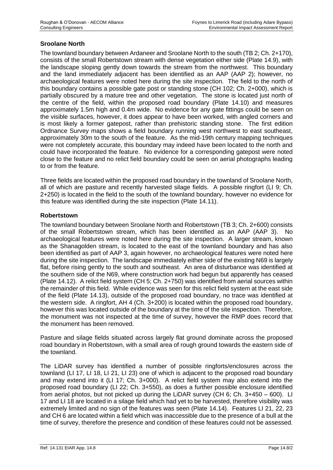## **Sroolane North**

The townland boundary between Ardaneer and Sroolane North to the south (TB 2; Ch. 2+170), consists of the small Robertstown stream with dense vegetation either side (Plate 14.9), with the landscape sloping gently down towards the stream from the northwest. This boundary and the land immediately adjacent has been identified as an AAP (AAP 2); however, no archaeological features were noted here during the site inspection. The field to the north of this boundary contains a possible gate post or standing stone (CH 102; Ch. 2+000), which is partially obscured by a mature tree and other vegetation. The stone is located just north of the centre of the field, within the proposed road boundary (Plate 14.10) and measures approximately 1.5m high and 0.4m wide. No evidence for any gate fittings could be seen on the visible surfaces, however, it does appear to have been worked, with angled corners and is most likely a former gatepost, rather than prehistoric standing stone. The first edition Ordnance Survey maps shows a field boundary running west northwest to east southeast, approximately 30m to the south of the feature. As the mid-19th century mapping techniques were not completely accurate, this boundary may indeed have been located to the north and could have incorporated the feature. No evidence for a corresponding gatepost were noted close to the feature and no relict field boundary could be seen on aerial photographs leading to or from the feature.

Three fields are located within the proposed road boundary in the townland of Sroolane North, all of which are pasture and recently harvested silage fields. A possible ringfort (LI 9; Ch. 2+250) is located in the field to the south of the townland boundary, however no evidence for this feature was identified during the site inspection (Plate 14.11).

#### **Robertstown**

The townland boundary between Sroolane North and Robertstown (TB 3; Ch. 2+600) consists of the small Robertstown stream, which has been identified as an AAP (AAP 3). No archaeological features were noted here during the site inspection. A larger stream, known as the Shanagolden stream, is located to the east of the townland boundary and has also been identified as part of AAP 3, again however, no archaeological features were noted here during the site inspection. The landscape immediately either side of the existing N69 is largely flat, before rising gently to the south and southeast. An area of disturbance was identified at the southern side of the N69, where construction work had begun but apparently has ceased (Plate 14.12). A relict field system (CH 5; Ch. 2+750) was identified from aerial sources within the remainder of this field. While evidence was seen for this relict field system at the east side of the field (Plate 14.13), outside of the proposed road boundary, no trace was identified at the western side. A ringfort, AH 4 (Ch. 3+200) is located within the proposed road boundary, however this was located outside of the boundary at the time of the site inspection. Therefore, the monument was not inspected at the time of survey, however the RMP does record that the monument has been removed.

Pasture and silage fields situated across largely flat ground dominate across the proposed road boundary in Robertstown, with a small area of rough ground towards the eastern side of the townland.

The LiDAR survey has identified a number of possible ringforts/enclosures across the townland (LI 17, LI 18, LI 21, LI 23) one of which is adjacent to the proposed road boundary and may extend into it (LI 17; Ch. 3+000). A relict field system may also extend into the proposed road boundary (LI 22; Ch. 3+550), as does a further possible enclosure identified from aerial photos, but not picked up during the LiDAR survey (CH 6; Ch. 3+450 – 600). LI 17 and LI 18 are located in a silage field which had yet to be harvested, therefore visibility was extremely limited and no sign of the features was seen (Plate 14.14). Features LI 21, 22, 23 and CH 6 are located within a field which was inaccessible due to the presence of a bull at the time of survey, therefore the presence and condition of these features could not be assessed.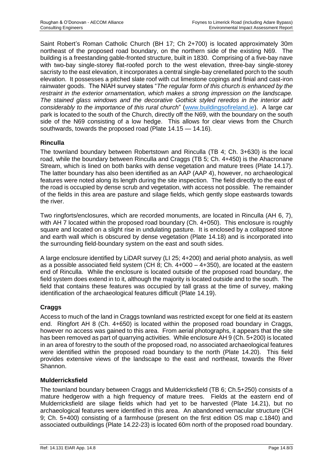Saint Robert's Roman Catholic Church (BH 17; Ch 2+700) is located approximately 30m northeast of the proposed road boundary, on the northern side of the existing N69. The building is a freestanding gable-fronted structure, built in 1830. Comprising of a five-bay nave with two-bay single-storey flat-roofed porch to the west elevation, three-bay single-storey sacristy to the east elevation, it incorporates a central single-bay crenellated porch to the south elevation. It possesses a pitched slate roof with cut limestone copings and finial and cast-iron rainwater goods. The NIAH survey states "*The regular form of this church is enhanced by the restraint in the exterior ornamentation, which makes a strong impression on the landscape. The stained glass windows and the decorative Gothick styled reredos in the interior add considerably to the importance of this rural church*" [\(www.buildingsofireland.ie\)](http://www.buildingsofireland.ie/). A large car park is located to the south of the Church, directly off the N69, with the boundary on the south side of the N69 consisting of a low hedge. This allows for clear views from the Church southwards, towards the proposed road (Plate 14.15 — 14.16).

# **Rinculla**

The townland boundary between Robertstown and Rinculla (TB 4; Ch. 3+630) is the local road, while the boundary between Rinculla and Craggs (TB 5; Ch. 4+450) is the Ahacronane Stream, which is lined on both banks with dense vegetation and mature trees (Plate 14.17). The latter boundary has also been identified as an AAP (AAP 4), however, no archaeological features were noted along its length during the site inspection. The field directly to the east of the road is occupied by dense scrub and vegetation, with access not possible. The remainder of the fields in this area are pasture and silage fields, which gently slope eastwards towards the river.

Two ringforts/enclosures, which are recorded monuments, are located in Rinculla (AH 6, 7), with AH 7 located within the proposed road boundary (Ch. 4+050). This enclosure is roughly square and located on a slight rise in undulating pasture. It is enclosed by a collapsed stone and earth wall which is obscured by dense vegetation (Plate 14.18) and is incorporated into the surrounding field-boundary system on the east and south sides.

A large enclosure identified by LiDAR survey (LI 25; 4+200) and aerial photo analysis, as well as a possible associated field system (CH 8; Ch.  $4+000 - 4+350$ ), are located at the eastern end of Rinculla. While the enclosure is located outside of the proposed road boundary, the field system does extend in to it, although the majority is located outside and to the south. The field that contains these features was occupied by tall grass at the time of survey, making identification of the archaeological features difficult (Plate 14.19).

# **Craggs**

Access to much of the land in Craggs townland was restricted except for one field at its eastern end. Ringfort AH 8 (Ch. 4+650) is located within the proposed road boundary in Craggs, however no access was gained to this area. From aerial photographs, it appears that the site has been removed as part of quarrying activities. While enclosure AH 9 (Ch. 5+200) is located in an area of forestry to the south of the proposed road, no associated archaeological features were identified within the proposed road boundary to the north (Plate 14.20). This field provides extensive views of the landscape to the east and northeast, towards the River Shannon.

# **Mulderricksfield**

The townland boundary between Craggs and Mulderricksfield (TB 6; Ch.5+250) consists of a mature hedgerow with a high frequency of mature trees. Fields at the eastern end of Mulderricksfield are silage fields which had yet to be harvested (Plate 14.21), but no archaeological features were identified in this area. An abandoned vernacular structure (CH 9; Ch. 5+400) consisting of a farmhouse (present on the first edition OS map c.1840) and associated outbuildings (Plate 14.22-23) is located 60m north of the proposed road boundary.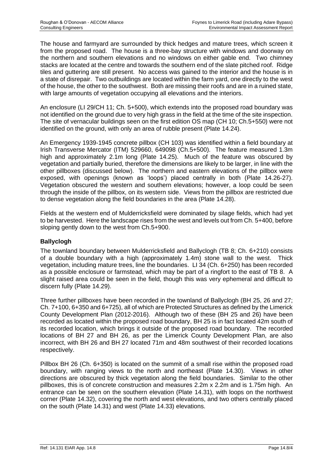The house and farmyard are surrounded by thick hedges and mature trees, which screen it from the proposed road. The house is a three-bay structure with windows and doorway on the northern and southern elevations and no windows on either gable end. Two chimney stacks are located at the centre and towards the southern end of the slate pitched roof. Ridge tiles and guttering are still present. No access was gained to the interior and the house is in a state of disrepair. Two outbuildings are located within the farm yard, one directly to the west of the house, the other to the southwest. Both are missing their roofs and are in a ruined state, with large amounts of vegetation occupying all elevations and the interiors.

An enclosure (LI 29/CH 11; Ch. 5+500), which extends into the proposed road boundary was not identified on the ground due to very high grass in the field at the time of the site inspection. The site of vernacular buildings seen on the first edition OS map (CH 10; Ch.5+550) were not identified on the ground, with only an area of rubble present (Plate 14.24).

An Emergency 1939-1945 concrete pillbox (CH 103) was identified within a field boundary at Irish Transverse Mercator (ITM) 529660, 649098 (Ch.5+500). The feature measured 1.3m high and approximately 2.1m long (Plate 14.25). Much of the feature was obscured by vegetation and partially buried, therefore the dimensions are likely to be larger, in line with the other pillboxes (discussed below). The northern and eastern elevations of the pillbox were exposed, with openings (known as 'loops') placed centrally in both (Plate 14.26-27). Vegetation obscured the western and southern elevations; however, a loop could be seen through the inside of the pillbox, on its western side. Views from the pillbox are restricted due to dense vegetation along the field boundaries in the area (Plate 14.28).

Fields at the western end of Mulderricksfield were dominated by silage fields, which had yet to be harvested. Here the landscape rises from the west and levels out from Ch. 5+400, before sloping gently down to the west from Ch.5+900.

# **Ballyclogh**

The townland boundary between Mulderricksfield and Ballyclogh (TB 8; Ch. 6+210) consists of a double boundary with a high (approximately 1.4m) stone wall to the west. Thick vegetation, including mature trees, line the boundaries. LI 34 (Ch. 6+250) has been recorded as a possible enclosure or farmstead, which may be part of a ringfort to the east of TB 8. A slight raised area could be seen in the field, though this was very ephemeral and difficult to discern fully (Plate 14.29).

Three further pillboxes have been recorded in the townland of Ballyclogh (BH 25, 26 and 27; Ch. 7+100, 6+350 and 6+725), all of which are Protected Structures as defined by the Limerick County Development Plan (2012-2016). Although two of these (BH 25 and 26) have been recorded as located within the proposed road boundary, BH 25 is in fact located 42m south of its recorded location, which brings it outside of the proposed road boundary. The recorded locations of BH 27 and BH 26, as per the Limerick County Development Plan, are also incorrect, with BH 26 and BH 27 located 71m and 48m southwest of their recorded locations respectively.

Pillbox BH 26 (Ch. 6+350) is located on the summit of a small rise within the proposed road boundary, with ranging views to the north and northeast (Plate 14.30). Views in other directions are obscured by thick vegetation along the field boundaries. Similar to the other pillboxes, this is of concrete construction and measures 2.2m x 2.2m and is 1.75m high. An entrance can be seen on the southern elevation (Plate 14.31), with loops on the northwest corner (Plate 14.32), covering the north and west elevations, and two others centrally placed on the south (Plate 14.31) and west (Plate 14.33) elevations.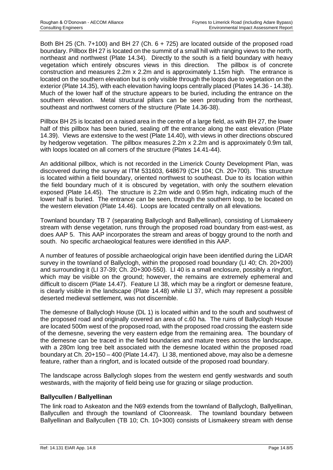Both BH 25 (Ch. 7+100) and BH 27 (Ch. 6 + 725) are located outside of the proposed road boundary. Pillbox BH 27 is located on the summit of a small hill with ranging views to the north, northeast and northwest (Plate 14.34). Directly to the south is a field boundary with heavy vegetation which entirely obscures views in this direction. The pillbox is of concrete construction and measures 2.2m x 2.2m and is approximately 1.15m high. The entrance is located on the southern elevation but is only visible through the loops due to vegetation on the exterior (Plate 14.35), with each elevation having loops centrally placed (Plates 14.36 - 14.38). Much of the lower half of the structure appears to be buried, including the entrance on the southern elevation. Metal structural pillars can be seen protruding from the northeast, southeast and northwest corners of the structure (Plate 14.36-38).

Pillbox BH 25 is located on a raised area in the centre of a large field, as with BH 27, the lower half of this pillbox has been buried, sealing off the entrance along the east elevation (Plate 14.39). Views are extensive to the west (Plate 14.40), with views in other directions obscured by hedgerow vegetation. The pillbox measures 2.2m x 2.2m and is approximately 0.9m tall, with loops located on all corners of the structure (Plates 14.41-44).

An additional pillbox, which is not recorded in the Limerick County Development Plan, was discovered during the survey at ITM 531603, 648679 (CH 104; Ch. 20+700). This structure is located within a field boundary, oriented northwest to southeast. Due to its location within the field boundary much of it is obscured by vegetation, with only the southern elevation exposed (Plate 14.45). The structure is 2.2m wide and 0.95m high, indicating much of the lower half is buried. The entrance can be seen, through the southern loop, to be located on the western elevation (Plate 14.46). Loops are located centrally on all elevations.

Townland boundary TB 7 (separating Ballyclogh and Ballyellinan), consisting of Lismakeery stream with dense vegetation, runs through the proposed road boundary from east-west, as does AAP 5. This AAP incorporates the stream and areas of boggy ground to the north and south. No specific archaeological features were identified in this AAP.

A number of features of possible archaeological origin have been identified during the LiDAR survey in the townland of Ballyclogh, within the proposed road boundary (LI 40; Ch. 20+200) and surrounding it (LI 37-39; Ch. 20+300-550). LI 40 is a small enclosure, possibly a ringfort, which may be visible on the ground; however, the remains are extremely ephemeral and difficult to discern (Plate 14.47). Feature LI 38, which may be a ringfort or demesne feature, is clearly visible in the landscape (Plate 14.48) while LI 37, which may represent a possible deserted medieval settlement, was not discernible.

The demesne of Ballyclogh House (DL 1) is located within and to the south and southwest of the proposed road and originally covered an area of c.60 ha. The ruins of Ballyclogh House are located 500m west of the proposed road, with the proposed road crossing the eastern side of the demesne, severing the very eastern edge from the remaining area. The boundary of the demesne can be traced in the field boundaries and mature trees across the landscape, with a 280m long tree belt associated with the demesne located within the proposed road boundary at Ch. 20+150 – 400 (Plate 14.47). LI 38, mentioned above, may also be a demesne feature, rather than a ringfort, and is located outside of the proposed road boundary.

The landscape across Ballyclogh slopes from the western end gently westwards and south westwards, with the majority of field being use for grazing or silage production.

# **Ballycullen / Ballyellinan**

The link road to Askeaton and the N69 extends from the townland of Ballyclogh, Ballyellinan, Ballycullen and through the townland of Cloonreask. The townland boundary between Ballyellinan and Ballycullen (TB 10; Ch. 10+300) consists of Lismakeery stream with dense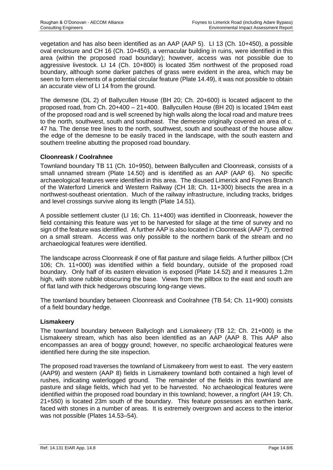vegetation and has also been identified as an AAP (AAP 5). LI 13 (Ch. 10+450), a possible oval enclosure and CH 16 (Ch. 10+450), a vernacular building in ruins, were identified in this area (within the proposed road boundary); however, access was not possible due to aggressive livestock. LI 14 (Ch. 10+800) is located 35m northwest of the proposed road boundary, although some darker patches of grass were evident in the area, which may be seen to form elements of a potential circular feature (Plate 14.49), it was not possible to obtain an accurate view of LI 14 from the ground.

The demesne (DL 2) of Ballycullen House (BH 20; Ch. 20+600) is located adjacent to the proposed road, from Ch. 20+400 – 21+400. Ballycullen House (BH 20) is located 194m east of the proposed road and is well screened by high walls along the local road and mature trees to the north, southwest, south and southeast. The demesne originally covered an area of c. 47 ha. The dense tree lines to the north, southwest, south and southeast of the house allow the edge of the demesne to be easily traced in the landscape, with the south eastern and southern treeline abutting the proposed road boundary.

## **Cloonreask / Coolrahnee**

Townland boundary TB 11 (Ch. 10+950), between Ballycullen and Cloonreask, consists of a small unnamed stream (Plate 14.50) and is identified as an AAP (AAP 6). No specific archaeological features were identified in this area. The disused Limerick and Foynes Branch of the Waterford Limerick and Western Railway (CH 18; Ch. 11+300) bisects the area in a northwest-southeast orientation. Much of the railway infrastructure, including tracks, bridges and level crossings survive along its length (Plate 14.51).

A possible settlement cluster (LI 16; Ch. 11+400) was identified in Cloonreask, however the field containing this feature was yet to be harvested for silage at the time of survey and no sign of the feature was identified. A further AAP is also located in Cloonreask (AAP 7), centred on a small stream. Access was only possible to the northern bank of the stream and no archaeological features were identified.

The landscape across Cloonreask if one of flat pasture and silage fields. A further pillbox (CH 106; Ch. 11+000) was identified within a field boundary, outside of the proposed road boundary. Only half of its eastern elevation is exposed (Plate 14.52) and it measures 1.2m high, with stone rubble obscuring the base. Views from the pillbox to the east and south are of flat land with thick hedgerows obscuring long-range views.

The townland boundary between Cloonreask and Coolrahnee (TB 54; Ch. 11+900) consists of a field boundary hedge.

#### **Lismakeery**

The townland boundary between Ballyclogh and Lismakeery (TB 12; Ch. 21+000) is the Lismakeery stream, which has also been identified as an AAP (AAP 8. This AAP also encompasses an area of boggy ground; however, no specific archaeological features were identified here during the site inspection.

The proposed road traverses the townland of Lismakeery from west to east. The very eastern (AAP9) and western (AAP 8) fields in Lismakeery townland both contained a high level of rushes, indicating waterlogged ground. The remainder of the fields in this townland are pasture and silage fields, which had yet to be harvested. No archaeological features were identified within the proposed road boundary in this townland; however, a ringfort (AH 19; Ch. 21+550) is located 23m south of the boundary. This feature possesses an earthen bank, faced with stones in a number of areas. It is extremely overgrown and access to the interior was not possible (Plates 14.53–54).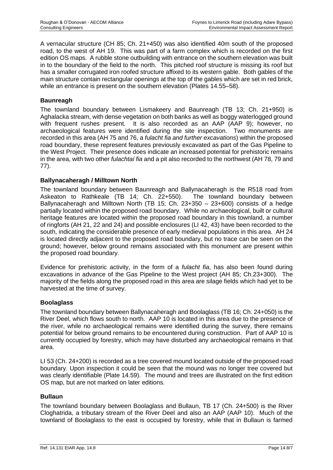A vernacular structure (CH 85; Ch. 21+450) was also identified 40m south of the proposed road, to the west of AH 19. This was part of a farm complex which is recorded on the first edition OS maps. A rubble stone outbuilding with entrance on the southern elevation was built in to the boundary of the field to the north. This pitched roof structure is missing its roof but has a smaller corrugated iron roofed structure affixed to its western gable. Both gables of the main structure contain rectangular openings at the top of the gables which are set in red brick, while an entrance is present on the southern elevation (Plates 14.55–58).

## **Baunreagh**

The townland boundary between Lismakeery and Baunreagh (TB 13; Ch. 21+950) is Aghalacka stream, with dense vegetation on both banks as well as boggy waterlogged ground with frequent rushes present. It is also recorded as an AAP (AAP 9); however, no archaeological features were identified during the site inspection. Two monuments are recorded in this area (AH 75 and 76, a *fulacht fia and further excavations*) within the proposed road boundary, these represent features previously excavated as part of the Gas Pipeline to the West Project. Their presence does indicate an increased potential for prehistoric remains in the area, with two other *fulachtaí fia* and a pit also recorded to the northwest (AH 78, 79 and 77).

## **Ballynacaheragh / Milltown North**

The townland boundary between Baunreagh and Ballynacaheragh is the R518 road from Askeaton to Rathkeale (TB 14; Ch. 22+550). The townland boundary between Ballynacaheragh and Milltown North (TB 15; Ch. 23+350 – 23+600) consists of a hedge partially located within the proposed road boundary. While no archaeological, built or cultural heritage features are located within the proposed road boundary in this townland, a number of ringforts (AH 21, 22 and 24) and possible enclosures (LI 42, 43) have been recorded to the south, indicating the considerable presence of early medieval populations in this area. AH 24 is located directly adjacent to the proposed road boundary, but no trace can be seen on the ground; however, below ground remains associated with this monument are present within the proposed road boundary.

Evidence for prehistoric activity, in the form of a *fulacht fia*, has also been found during excavations in advance of the Gas Pipeline to the West project (AH 85; Ch.23+300). The majority of the fields along the proposed road in this area are silage fields which had yet to be harvested at the time of survey.

# **Boolaglass**

The townland boundary between Ballynacaheragh and Boolaglass (TB 16; Ch. 24+050) is the River Deel, which flows south to north. AAP 10 is located in this area due to the presence of the river, while no archaeological remains were identified during the survey, there remains potential for below ground remains to be encountered during construction. Part of AAP 10 is currently occupied by forestry, which may have disturbed any archaeological remains in that area.

LI 53 (Ch. 24+200) is recorded as a tree covered mound located outside of the proposed road boundary. Upon inspection it could be seen that the mound was no longer tree covered but was clearly identifiable (Plate 14.59). The mound and trees are illustrated on the first edition OS map, but are not marked on later editions.

#### **Bullaun**

The townland boundary between Boolaglass and Bullaun, TB 17 (Ch. 24+500) is the River Cloghatrida, a tributary stream of the River Deel and also an AAP (AAP 10). Much of the townland of Boolaglass to the east is occupied by forestry, while that in Bullaun is farmed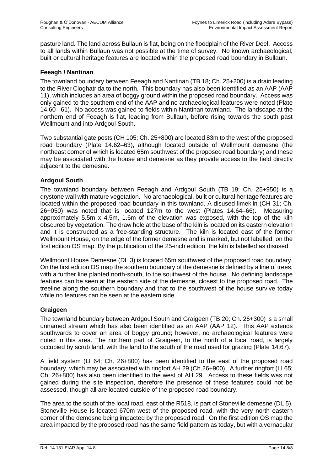pasture land. The land across Bullaun is flat, being on the floodplain of the River Deel. Access to all lands within Bullaun was not possible at the time of survey. No known archaeological, built or cultural heritage features are located within the proposed road boundary in Bullaun.

# **Feeagh / Nantinan**

The townland boundary between Feeagh and Nantinan (TB 18; Ch. 25+200) is a drain leading to the River Cloghatrida to the north. This boundary has also been identified as an AAP (AAP 11), which includes an area of boggy ground within the proposed road boundary. Access was only gained to the southern end of the AAP and no archaeological features were noted (Plate 14.60 –61). No access was gained to fields within Nantinan townland. The landscape at the northern end of Feeagh is flat, leading from Bullaun, before rising towards the south past Wellmount and into Ardgoul South.

Two substantial gate posts (CH 105; Ch. 25+800) are located 83m to the west of the proposed road boundary (Plate 14.62–63), although located outside of Wellmount demesne (the northeast corner of which is located 65m southwest of the proposed road boundary) and these may be associated with the house and demesne as they provide access to the field directly adjacent to the demesne.

## **Ardgoul South**

The townland boundary between Feeagh and Ardgoul South (TB 19; Ch. 25+950) is a drystone wall with mature vegetation. No archaeological, built or cultural heritage features are located within the proposed road boundary in this townland. A disused limekiln (CH 31; Ch. 26+050) was noted that is located 127m to the west (Plates 14.64–66). Measuring approximately 5.5m x 4.5m, 1.6m of the elevation was exposed, with the top of the kiln obscured by vegetation. The draw hole at the base of the kiln is located on its eastern elevation and it is constructed as a free-standing structure. The kiln is located east of the former Wellmount House, on the edge of the former demesne and is marked, but not labelled, on the first edition OS map. By the publication of the 25-inch edition, the kiln is labelled as disused.

Wellmount House Demesne (DL 3) is located 65m southwest of the proposed road boundary. On the first edition OS map the southern boundary of the demesne is defined by a line of trees, with a further line planted north-south, to the southwest of the house. No defining landscape features can be seen at the eastern side of the demesne, closest to the proposed road. The treeline along the southern boundary and that to the southwest of the house survive today while no features can be seen at the eastern side.

# **Graigeen**

The townland boundary between Ardgoul South and Graigeen (TB 20; Ch. 26+300) is a small unnamed stream which has also been identified as an AAP (AAP 12). This AAP extends southwards to cover an area of boggy ground; however, no archaeological features were noted in this area. The northern part of Graigeen, to the north of a local road, is largely occupied by scrub land, with the land to the south of the road used for grazing (Plate 14.67).

A field system (LI 64; Ch. 26+800) has been identified to the east of the proposed road boundary, which may be associated with ringfort AH 29 (Ch.26+900). A further ringfort (LI 65; Ch. 26+800) has also been identified to the west of AH 29. Access to these fields was not gained during the site inspection, therefore the presence of these features could not be assessed, though all are located outside of the proposed road boundary.

The area to the south of the local road, east of the R518, is part of Stoneville demesne (DL 5). Stoneville House is located 670m west of the proposed road, with the very north eastern corner of the demesne being impacted by the proposed road. On the first edition OS map the area impacted by the proposed road has the same field pattern as today, but with a vernacular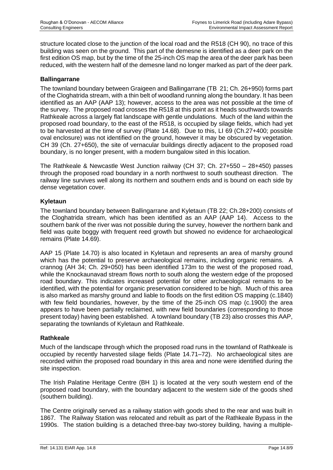structure located close to the junction of the local road and the R518 (CH 90), no trace of this building was seen on the ground. This part of the demesne is identified as a deer park on the first edition OS map, but by the time of the 25-inch OS map the area of the deer park has been reduced, with the western half of the demesne land no longer marked as part of the deer park.

## **Ballingarrane**

The townland boundary between Graigeen and Ballingarrane (TB 21; Ch. 26+950) forms part of the Cloghatrida stream, with a thin belt of woodland running along the boundary. It has been identified as an AAP (AAP 13); however, access to the area was not possible at the time of the survey. The proposed road crosses the R518 at this point as it heads southwards towards Rathkeale across a largely flat landscape with gentle undulations. Much of the land within the proposed road boundary, to the east of the R518, is occupied by silage fields, which had yet to be harvested at the time of survey (Plate 14.68). Due to this, LI 69 (Ch.27+400; possible oval enclosure) was not identified on the ground, however it may be obscured by vegetation. CH 39 (Ch. 27+650), the site of vernacular buildings directly adjacent to the proposed road boundary, is no longer present, with a modern bungalow sited in this location.

The Rathkeale & Newcastle West Junction railway (CH 37; Ch. 27+550 – 28+450) passes through the proposed road boundary in a north northwest to south southeast direction. The railway line survives well along its northern and southern ends and is bound on each side by dense vegetation cover.

## **Kyletaun**

The townland boundary between Ballingarrane and Kyletaun (TB 22; Ch.28+200) consists of the Cloghatrida stream, which has been identified as an AAP (AAP 14). Access to the southern bank of the river was not possible during the survey, however the northern bank and field was quite boggy with frequent reed growth but showed no evidence for archaeological remains (Plate 14.69).

AAP 15 (Plate 14.70) is also located in Kyletaun and represents an area of marshy ground which has the potential to preserve archaeological remains, including organic remains. A crannog (AH 34; Ch. 29+050) has been identified 173m to the west of the proposed road, while the Knockaunavad stream flows north to south along the western edge of the proposed road boundary. This indicates increased potential for other archaeological remains to be identified, with the potential for organic preservation considered to be high. Much of this area is also marked as marshy ground and liable to floods on the first edition OS mapping (c.1840) with few field boundaries, however, by the time of the 25-inch OS map (c.1900) the area appears to have been partially reclaimed, with new field boundaries (corresponding to those present today) having been established. A townland boundary (TB 23) also crosses this AAP, separating the townlands of Kyletaun and Rathkeale.

#### **Rathkeale**

Much of the landscape through which the proposed road runs in the townland of Rathkeale is occupied by recently harvested silage fields (Plate 14.71–72). No archaeological sites are recorded within the proposed road boundary in this area and none were identified during the site inspection.

The Irish Palatine Heritage Centre (BH 1) is located at the very south western end of the proposed road boundary, with the boundary adjacent to the western side of the goods shed (southern building).

The Centre originally served as a railway station with goods shed to the rear and was built in 1867. The Railway Station was relocated and rebuilt as part of the Rathkeale Bypass in the 1990s. The station building is a detached three-bay two-storey building, having a multiple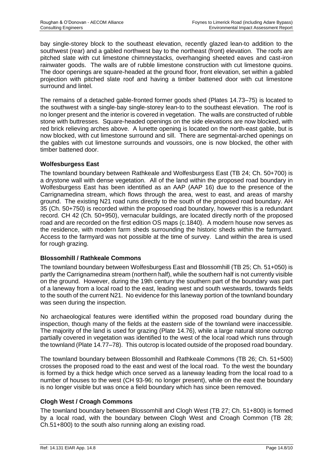bay single-storey block to the southeast elevation, recently glazed lean-to addition to the southwest (rear) and a gabled northwest bay to the northeast (front) elevation. The roofs are pitched slate with cut limestone chimneystacks, overhanging sheeted eaves and cast-iron rainwater goods. The walls are of rubble limestone construction with cut limestone quoins. The door openings are square-headed at the ground floor, front elevation, set within a gabled projection with pitched slate roof and having a timber battened door with cut limestone surround and lintel.

The remains of a detached gable-fronted former goods shed (Plates 14.73–75) is located to the southwest with a single-bay single-storey lean-to to the southeast elevation. The roof is no longer present and the interior is covered in vegetation. The walls are constructed of rubble stone with buttresses. Square-headed openings on the side elevations are now blocked, with red brick relieving arches above. A lunette opening is located on the north-east gable, but is now blocked, with cut limestone surround and sill. There are segmental-arched openings on the gables with cut limestone surrounds and voussoirs, one is now blocked, the other with timber battened door.

## **Wolfesburgess East**

The townland boundary between Rathkeale and Wolfesburgess East (TB 24; Ch. 50+700) is a drystone wall with dense vegetation. All of the land within the proposed road boundary in Wolfesburgess East has been identified as an AAP (AAP 16) due to the presence of the Carrignamedina stream, which flows through the area, west to east, and areas of marshy ground. The existing N21 road runs directly to the south of the proposed road boundary. AH 35 (Ch. 50+750) is recorded within the proposed road boundary, however this is a redundant record. CH 42 (Ch. 50+950), vernacular buildings, are located directly north of the proposed road and are recorded on the first edition OS maps (c.1840). A modern house now serves as the residence, with modern farm sheds surrounding the historic sheds within the farmyard. Access to the farmyard was not possible at the time of survey. Land within the area is used for rough grazing.

#### **Blossomhill / Rathkeale Commons**

The townland boundary between Wolfesburgess East and Blossomhill (TB 25; Ch. 51+050) is partly the Carrignamedina stream (northern half), while the southern half is not currently visible on the ground. However, during the 19th century the southern part of the boundary was part of a laneway from a local road to the east, leading west and south westwards, towards fields to the south of the current N21. No evidence for this laneway portion of the townland boundary was seen during the inspection.

No archaeological features were identified within the proposed road boundary during the inspection, though many of the fields at the eastern side of the townland were inaccessible. The majority of the land is used for grazing (Plate 14.76), while a large natural stone outcrop partially covered in vegetation was identified to the west of the local road which runs through the townland (Plate 14.77–78). This outcrop is located outside of the proposed road boundary.

The townland boundary between Blossomhill and Rathkeale Commons (TB 26; Ch. 51+500) crosses the proposed road to the east and west of the local road. To the west the boundary is formed by a thick hedge which once served as a laneway leading from the local road to a number of houses to the west (CH 93-96; no longer present), while on the east the boundary is no longer visible but was once a field boundary which has since been removed.

# **Clogh West / Croagh Commons**

The townland boundary between Blossomhill and Clogh West (TB 27; Ch. 51+800) is formed by a local road, with the boundary between Clogh West and Croagh Common (TB 28; Ch.51+800) to the south also running along an existing road.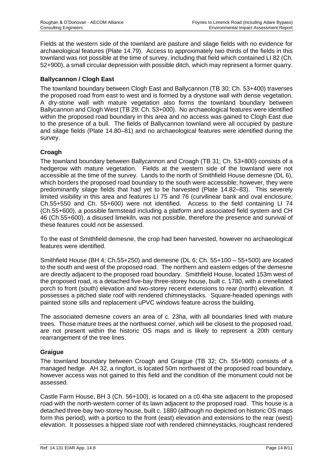Fields at the western side of the townland are pasture and silage fields with no evidence for archaeological features (Plate 14.79). Access to approximately two thirds of the fields in this townland was not possible at the time of survey, including that field which contained LI 82 (Ch. 52+900), a small circular depression with possible ditch, which may represent a former quarry.

## **Ballycannon / Clogh East**

The townland boundary between Clogh East and Ballycannon (TB 30; Ch. 53+400) traverses the proposed road from east to west and is formed by a drystone wall with dense vegetation. A dry-stone wall with mature vegetation also forms the townland boundary between Ballycannon and Clogh West (TB 29; Ch. 53+000). No archaeological features were identified within the proposed road boundary in this area and no access was gained to Clogh East due to the presence of a bull. The fields of Ballycannon townland were all occupied by pasture and silage fields (Plate 14.80–81) and no archaeological features were identified during the survey.

# **Croagh**

The townland boundary between Ballycannon and Croagh (TB 31; Ch. 53+800) consists of a hedgerow with mature vegetation. Fields at the western side of the townland were not accessible at the time of the survey. Lands to the north of Smithfield House demesne (DL 6), which borders the proposed road boundary to the south were accessible; however, they were predominantly silage fields that had yet to be harvested (Plate 14.82–83). This severely limited visibility in this area and features LI 75 and 76 (curvilinear bank and oval enclosure; Ch.55+550 and Ch. 55+600) were not identified. Access to the field containing LI 74 (Ch.55+600), a possible farmstead including a platform and associated field system and CH 46 (Ch.55+600), a disused limekiln, was not possible, therefore the presence and survival of these features could not be assessed.

To the east of Smithfield demesne, the crop had been harvested, however no archaeological features were identified.

Smithfield House (BH 4; Ch.55+250) and demesne (DL 6; Ch. 55+100 – 55+500) are located to the south and west of the proposed road. The northern and eastern edges of the demesne are directly adjacent to the proposed road boundary. Smithfield House, located 153m west of the proposed road, is a detached five-bay three-storey house, built c. 1780, with a crenellated porch to front (south) elevation and two-storey recent extensions to rear (north) elevation. It possesses a pitched slate roof with rendered chimneystacks. Square-headed openings with painted stone sills and replacement uPVC windows feature across the building.

The associated demesne covers an area of c. 23ha, with all boundaries lined with mature trees. Those mature trees at the northwest corner, which will be closest to the proposed road, are not present within the historic OS maps and is likely to represent a 20th century rearrangement of the tree lines.

#### **Graigue**

The townland boundary between Croagh and Graigue (TB 32; Ch. 55+900) consists of a managed hedge. AH 32, a ringfort, is located 50m northwest of the proposed road boundary, however access was not gained to this field and the condition of the monument could not be assessed.

Castle Farm House, BH 3 (Ch. 56+100), is located on a c0.4ha site adjacent to the proposed road with the north-western corner of its lawn adjacent to the proposed road. This house is a detached three-bay two-storey house, built c. 1880 (although no depicted on historic OS maps form this period), with a portico to the front (east) elevation and extensions to the rear (west) elevation. It possesses a hipped slate roof with rendered chimneystacks, roughcast rendered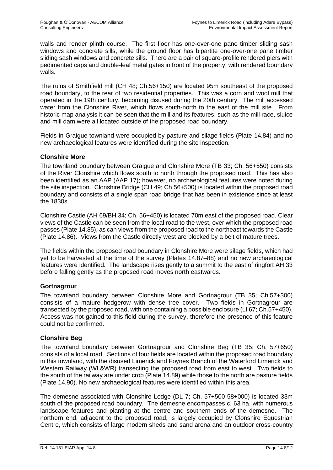walls and render plinth course. The first floor has one-over-one pane timber sliding sash windows and concrete sills, while the ground floor has bipartite one-over-one pane timber sliding sash windows and concrete sills. There are a pair of square-profile rendered piers with pedimented caps and double-leaf metal gates in front of the property, with rendered boundary walls.

The ruins of Smithfield mill (CH 48; Ch.56+150) are located 95m southeast of the proposed road boundary, to the rear of two residential properties. This was a corn and wool mill that operated in the 19th century, becoming disused during the 20th century. The mill accessed water from the Clonshire River, which flows south-north to the east of the mill site. From historic map analysis it can be seen that the mill and its features, such as the mill race, sluice and mill dam were all located outside of the proposed road boundary.

Fields in Graigue townland were occupied by pasture and silage fields (Plate 14.84) and no new archaeological features were identified during the site inspection.

## **Clonshire More**

The townland boundary between Graigue and Clonshire More (TB 33; Ch. 56+550) consists of the River Clonshire which flows south to north through the proposed road. This has also been identified as an AAP (AAP 17); however, no archaeological features were noted during the site inspection. Clonshire Bridge (CH 49; Ch.56+500) is located within the proposed road boundary and consists of a single span road bridge that has been in existence since at least the 1830s.

Clonshire Castle (AH 69/BH 34; Ch. 56+450) is located 70m east of the proposed road. Clear views of the Castle can be seen from the local road to the west, over which the proposed road passes (Plate 14.85), as can views from the proposed road to the northeast towards the Castle (Plate 14.86). Views from the Castle directly west are blocked by a belt of mature trees.

The fields within the proposed road boundary in Clonshire More were silage fields, which had yet to be harvested at the time of the survey (Plates 14.87–88) and no new archaeological features were identified. The landscape rises gently to a summit to the east of ringfort AH 33 before falling gently as the proposed road moves north eastwards.

#### **Gortnagrour**

The townland boundary between Clonshire More and Gortnagrour (TB 35; Ch.57+300) consists of a mature hedgerow with dense tree cover. Two fields in Gortnagrour are transected by the proposed road, with one containing a possible enclosure (LI 67; Ch.57+450). Access was not gained to this field during the survey, therefore the presence of this feature could not be confirmed.

#### **Clonshire Beg**

The townland boundary between Gortnagrour and Clonshire Beg (TB 35; Ch. 57+650) consists of a local road. Sections of four fields are located within the proposed road boundary in this townland, with the disused Limerick and Foynes Branch of the Waterford Limerick and Western Railway (WL&WR) transecting the proposed road from east to west. Two fields to the south of the railway are under crop (Plate 14.89) while those to the north are pasture fields (Plate 14.90). No new archaeological features were identified within this area.

The demesne associated with Clonshire Lodge (DL 7; Ch. 57+500-58+000) is located 33m south of the proposed road boundary. The demesne encompasses c. 63 ha, with numerous landscape features and planting at the centre and southern ends of the demesne. The northern end, adjacent to the proposed road, is largely occupied by Clonshire Equestrian Centre, which consists of large modern sheds and sand arena and an outdoor cross-country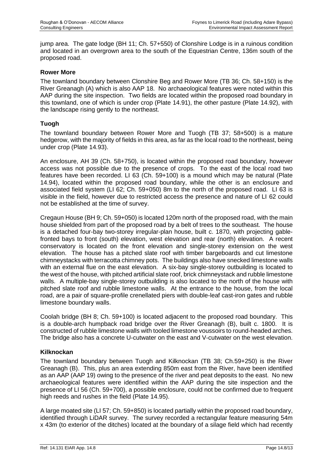jump area. The gate lodge (BH 11; Ch. 57+550) of Clonshire Lodge is in a ruinous condition and located in an overgrown area to the south of the Equestrian Centre, 136m south of the proposed road.

## **Rower More**

The townland boundary between Clonshire Beg and Rower More (TB 36; Ch. 58+150) is the River Greanagh (A) which is also AAP 18. No archaeological features were noted within this AAP during the site inspection. Two fields are located within the proposed road boundary in this townland, one of which is under crop (Plate 14.91), the other pasture (Plate 14.92), with the landscape rising gently to the northeast.

## **Tuogh**

The townland boundary between Rower More and Tuogh (TB 37; 58+500) is a mature hedgerow, with the majority of fields in this area, as far as the local road to the northeast, being under crop (Plate 14.93).

An enclosure, AH 39 (Ch. 58+750), is located within the proposed road boundary, however access was not possible due to the presence of crops. To the east of the local road two features have been recorded. LI 63 (Ch. 59+100) is a mound which may be natural (Plate 14.94), located within the proposed road boundary, while the other is an enclosure and associated field system (LI 62; Ch. 59+050) 8m to the north of the proposed road. LI 63 is visible in the field, however due to restricted access the presence and nature of LI 62 could not be established at the time of survey.

Cregaun House (BH 9; Ch. 59+050) is located 120m north of the proposed road, with the main house shielded from part of the proposed road by a belt of trees to the southeast. The house is a detached four-bay two-storey irregular-plan house, built c. 1870, with projecting gablefronted bays to front (south) elevation, west elevation and rear (north) elevation. A recent conservatory is located on the front elevation and single-storey extension on the west elevation. The house has a pitched slate roof with timber bargeboards and cut limestone chimneystacks with terracotta chimney pots. The buildings also have snecked limestone walls with an external flue on the east elevation. A six-bay single-storey outbuilding is located to the west of the house, with pitched artificial slate roof, brick chimneystack and rubble limestone walls. A multiple-bay single-storey outbuilding is also located to the north of the house with pitched slate roof and rubble limestone walls. At the entrance to the house, from the local road, are a pair of square-profile crenellated piers with double-leaf cast-iron gates and rubble limestone boundary walls.

Coolah bridge (BH 8; Ch. 59+100) is located adjacent to the proposed road boundary. This is a double-arch humpback road bridge over the River Greanagh (B), built c. 1800. It is constructed of rubble limestone walls with tooled limestone voussoirs to round-headed arches. The bridge also has a concrete U-cutwater on the east and V-cutwater on the west elevation.

#### **Kilknockan**

The townland boundary between Tuogh and Kilknockan (TB 38; Ch.59+250) is the River Greanagh (B). This, plus an area extending 850m east from the River, have been identified as an AAP (AAP 19) owing to the presence of the river and peat deposits to the east. No new archaeological features were identified within the AAP during the site inspection and the presence of LI 56 (Ch. 59+700), a possible enclosure, could not be confirmed due to frequent high reeds and rushes in the field (Plate 14.95).

A large moated site (LI 57; Ch. 59+850) is located partially within the proposed road boundary, identified through LiDAR survey. The survey recorded a rectangular feature measuring 54m x 43m (to exterior of the ditches) located at the boundary of a silage field which had recently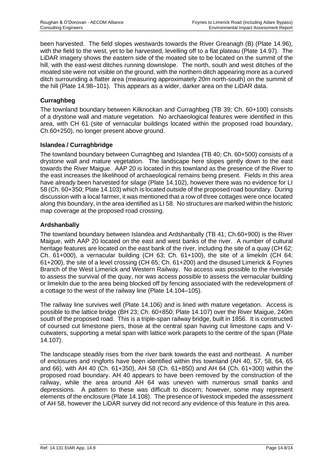been harvested. The field slopes westwards towards the River Greanagh (B) (Plate 14.96), with the field to the west, yet to be harvested, levelling off to a flat plateau (Plate 14.97). The LiDAR imagery shows the eastern side of the moated site to be located on the summit of the hill, with the east-west ditches running downslope. The north, south and west ditches of the moated site were not visible on the ground, with the northern ditch appearing more as a curved ditch surrounding a flatter area (measuring approximately 20m north-south) on the summit of the hill (Plate 14.98–101). This appears as a wider, darker area on the LiDAR data.

## **Curraghbeg**

The townland boundary between Kilknockan and Curraghbeg (TB 39; Ch. 60+100) consists of a drystone wall and mature vegetation. No archaeological features were identified in this area, with CH 61 (site of vernacular buildings located within the proposed road boundary, Ch.60+250), no longer present above ground.

## **Islandea / Curraghbridge**

The townland boundary between Curraghbeg and Islandea (TB 40; Ch. 60+500) consists of a drystone wall and mature vegetation. The landscape here slopes gently down to the east towards the River Maigue. AAP 20 is located in this townland as the presence of the River to the east increases the likelihood of archaeological remains being present. Fields in this area have already been harvested for silage (Plate 14.102), however there was no evidence for LI 58 (Ch. 60+350; Plate 14.103) which is located outside of the proposed road boundary. During discussion with a local farmer, it was mentioned that a row of three cottages were once located along this boundary, in the area identified as LI 58. No structures are marked within the historic map coverage at the proposed road crossing.

## **Ardshanbally**

The townland boundary between Islandea and Ardshanbally (TB 41; Ch.60+900) is the River Maigue, with AAP 20 located on the east and west banks of the river. A number of cultural heritage features are located on the east bank of the river, including the site of a quay (CH 62; Ch. 61+000), a vernacular building (CH 63; Ch. 61+100), the site of a limekiln (CH 64; 61+200), the site of a level crossing (CH 65; Ch. 61+200) and the disused Limerick & Foynes Branch of the West Limerick and Western Railway. No access was possible to the riverside to assess the survival of the quay, nor was access possible to assess the vernacular building or limekiln due to the area being blocked off by fencing associated with the redevelopment of a cottage to the west of the railway line (Plate 14.104–105).

The railway line survives well (Plate 14.106) and is lined with mature vegetation. Access is possible to the lattice bridge (BH 23; Ch. 60+850; Plate 14.107) over the River Maigue, 240m south of the proposed road. This is a triple-span railway bridge, built in 1856. It is constructed of coursed cut limestone piers, those at the central span having cut limestone caps and Vcutwaters, supporting a metal span with lattice work parapets to the centre of the span (Plate 14.107).

The landscape steadily rises from the river bank towards the east and northeast. A number of enclosures and ringforts have been identified within this townland (AH 40, 57, 58, 64, 65 and 66), with AH 40 (Ch. 61+350), AH 58 (Ch. 61+850) and AH 64 (Ch. 61+300) within the proposed road boundary. AH 40 appears to have been removed by the construction of the railway, while the area around AH 64 was uneven with numerous small banks and depressions. A pattern to these was difficult to discern; however, some may represent elements of the enclosure (Plate 14.108). The presence of livestock impeded the assessment of AH 58, however the LiDAR survey did not record any evidence of this feature in this area.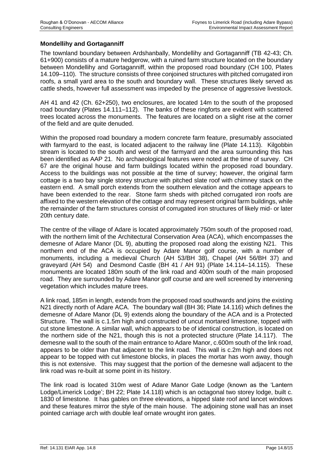## **Mondellihy and Gortaganniff**

The townland boundary between Ardshanbally, Mondellihy and Gortaganniff (TB 42-43; Ch. 61+900) consists of a mature hedgerow, with a ruined farm structure located on the boundary between Mondellihy and Gortaganniff, within the proposed road boundary (CH 100, Plates 14.109–110). The structure consists of three conjoined structures with pitched corrugated iron roofs, a small yard area to the south and boundary wall. These structures likely served as cattle sheds, however full assessment was impeded by the presence of aggressive livestock.

AH 41 and 42 (Ch. 62+250), two enclosures, are located 14m to the south of the proposed road boundary (Plates 14.111–112). The banks of these ringforts are evident with scattered trees located across the monuments. The features are located on a slight rise at the corner of the field and are quite denuded.

Within the proposed road boundary a modern concrete farm feature, presumably associated with farmyard to the east, is located adjacent to the railway line (Plate 14.113). Kilgobbin stream is located to the south and west of the farmyard and the area surrounding this has been identified as AAP 21. No archaeological features were noted at the time of survey. CH 67 are the original house and farm buildings located within the proposed road boundary. Access to the buildings was not possible at the time of survey; however, the original farm cottage is a two bay single storey structure with pitched slate roof with chimney stack on the eastern end. A small porch extends from the southern elevation and the cottage appears to have been extended to the rear. Stone farm sheds with pitched corrugated iron roofs are affixed to the western elevation of the cottage and may represent original farm buildings, while the remainder of the farm structures consist of corrugated iron structures of likely mid- or later 20th century date.

The centre of the village of Adare is located approximately 750m south of the proposed road, with the northern limit of the Architectural Conservation Area (ACA), which encompasses the demesne of Adare Manor (DL 9), abutting the proposed road along the existing N21. This northern end of the ACA is occupied by Adare Manor golf course, with a number of monuments, including a medieval Church (AH 53/BH 38), Chapel (AH 56/BH 37) and graveyard (AH 54) and Desmond Castle (BH 41 / AH 91) (Plate 14.114–14.115). These monuments are located 180m south of the link road and 400m south of the main proposed road. They are surrounded by Adare Manor golf course and are well screened by intervening vegetation which includes mature trees.

A link road, 185m in length, extends from the proposed road southwards and joins the existing N21 directly north of Adare ACA. The boundary wall (BH 36; Plate 14.116) which defines the demesne of Adare Manor (DL 9) extends along the boundary of the ACA and is a Protected Structure. The wall is c.1.5m high and constructed of uncut mortared limestone, topped with cut stone limestone. A similar wall, which appears to be of identical construction, is located on the northern side of the N21, though this is not a protected structure (Plate 14.117). The demesne wall to the south of the main entrance to Adare Manor, c.600m south of the link road, appears to be older than that adjacent to the link road. This wall is c.2m high and does not appear to be topped with cut limestone blocks, in places the mortar has worn away, though this is not extensive. This may suggest that the portion of the demesne wall adjacent to the link road was re-built at some point in its history.

The link road is located 310m west of Adare Manor Gate Lodge (known as the 'Lantern Lodge/Limerick Lodge'; BH 22; Plate 14.118) which is an octagonal two storey lodge, built c. 1830 of limestone. It has gables on three elevations, a hipped slate roof and lancet windows and these features mirror the style of the main house. The adjoining stone wall has an inset pointed carriage arch with double leaf ornate wrought iron gates.